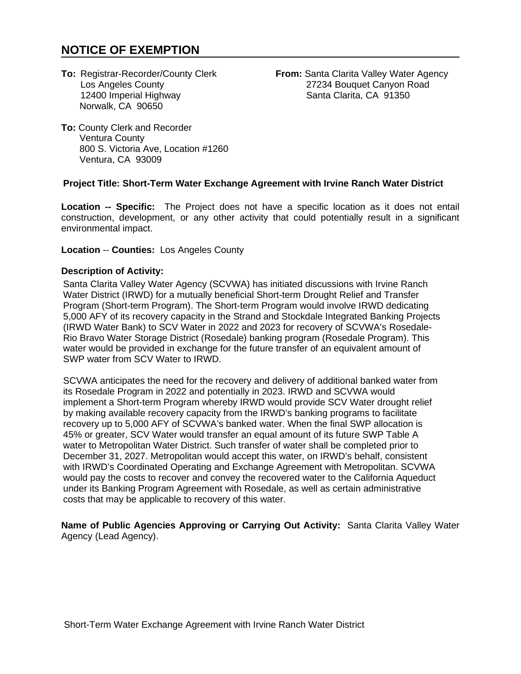# **NOTICE OF EXEMPTION**

12400 Imperial Highway Norwalk, CA 90650

**To: Registrar-Recorder/County Clerk <b>From:** Santa Clarita Valley Water Agency<br>Los Angeles County **1999** 27234 Bouquet Canyon Road 27234 Bouquet Canyon Road<br>Santa Clarita, CA 91350

**To:** County Clerk and Recorder Ventura County 800 S. Victoria Ave, Location #1260 Ventura, CA 93009

# **Project Title: Short-Term Water Exchange Agreement with Irvine Ranch Water District**

**Location -- Specific:** The Project does not have a specific location as it does not entail construction, development, or any other activity that could potentially result in a significant environmental impact.

#### **Location** -- **Counties:** Los Angeles County

## **Description of Activity:**

Santa Clarita Valley Water Agency (SCVWA) has initiated discussions with Irvine Ranch Water District (IRWD) for a mutually beneficial Short-term Drought Relief and Transfer Program (Short-term Program). The Short-term Program would involve IRWD dedicating 5,000 AFY of its recovery capacity in the Strand and Stockdale Integrated Banking Projects (IRWD Water Bank) to SCV Water in 2022 and 2023 for recovery of SCVWA's Rosedale-Rio Bravo Water Storage District (Rosedale) banking program (Rosedale Program). This water would be provided in exchange for the future transfer of an equivalent amount of SWP water from SCV Water to IRWD.

SCVWA anticipates the need for the recovery and delivery of additional banked water from its Rosedale Program in 2022 and potentially in 2023. IRWD and SCVWA would implement a Short-term Program whereby IRWD would provide SCV Water drought relief by making available recovery capacity from the IRWD's banking programs to facilitate recovery up to 5,000 AFY of SCVWA's banked water. When the final SWP allocation is 45% or greater, SCV Water would transfer an equal amount of its future SWP Table A water to Metropolitan Water District. Such transfer of water shall be completed prior to December 31, 2027. Metropolitan would accept this water, on IRWD's behalf, consistent with IRWD's Coordinated Operating and Exchange Agreement with Metropolitan. SCVWA would pay the costs to recover and convey the recovered water to the California Aqueduct under its Banking Program Agreement with Rosedale, as well as certain administrative costs that may be applicable to recovery of this water.

**Name of Public Agencies Approving or Carrying Out Activity:** Santa Clarita Valley Water Agency (Lead Agency).